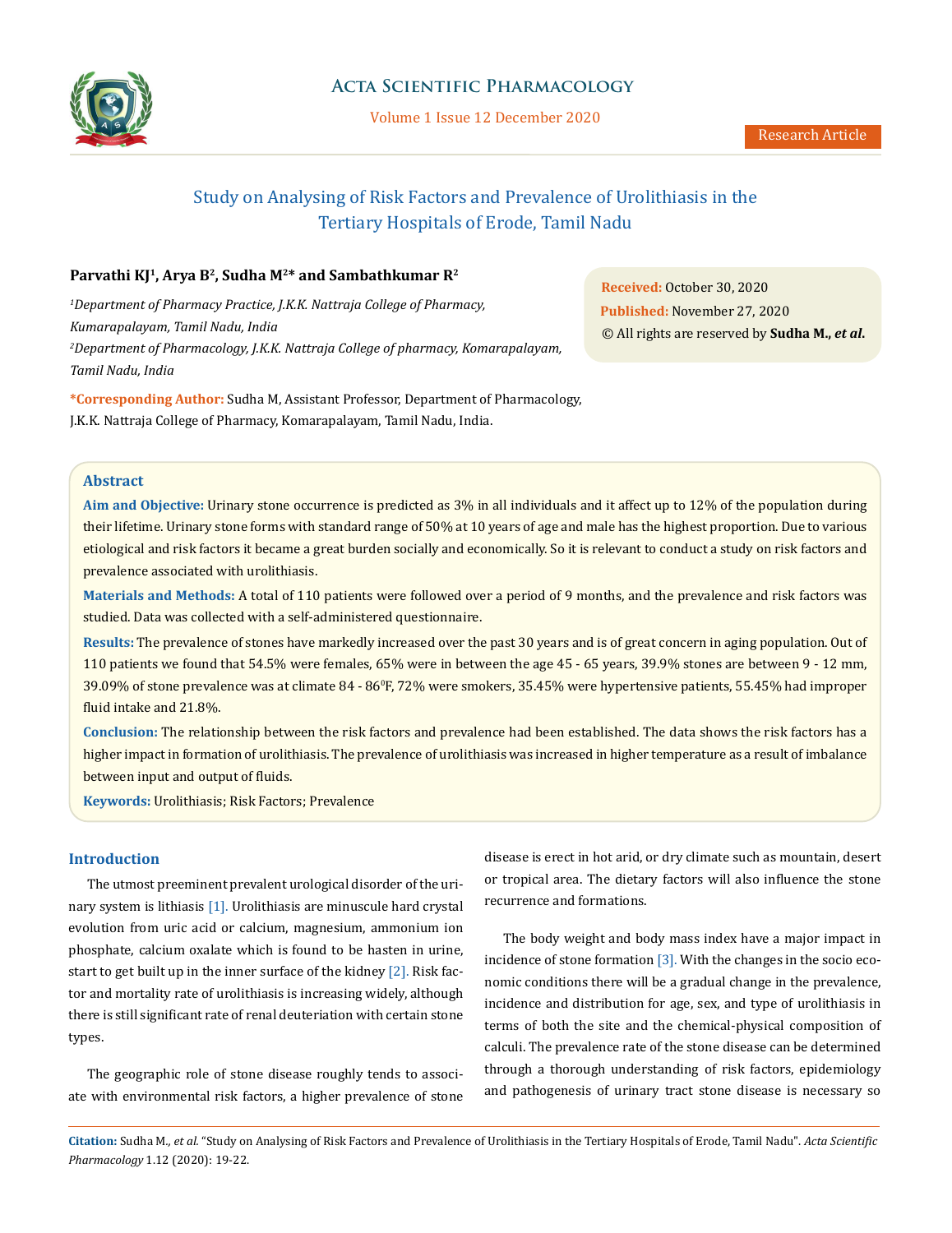

# **Acta Scientific Pharmacology**

Volume 1 Issue 12 December 2020

# Study on Analysing of Risk Factors and Prevalence of Urolithiasis in the Tertiary Hospitals of Erode, Tamil Nadu

# Parvathi KJ<sup>1</sup>, Arya B<sup>2</sup>, Sudha M<sup>2\*</sup> and Sambathkumar R<sup>2</sup>

*1 Department of Pharmacy Practice, J.K.K. Nattraja College of Pharmacy, Kumarapalayam, Tamil Nadu, India 2 Department of Pharmacology, J.K.K. Nattraja College of pharmacy, Komarapalayam, Tamil Nadu, India*

**\*Corresponding Author:** Sudha M, Assistant Professor, Department of Pharmacology, J.K.K. Nattraja College of Pharmacy, Komarapalayam, Tamil Nadu, India.

**Abstract**

**Aim and Objective:** Urinary stone occurrence is predicted as 3% in all individuals and it affect up to 12% of the population during their lifetime. Urinary stone forms with standard range of 50% at 10 years of age and male has the highest proportion. Due to various etiological and risk factors it became a great burden socially and economically. So it is relevant to conduct a study on risk factors and prevalence associated with urolithiasis.

**Materials and Methods:** A total of 110 patients were followed over a period of 9 months, and the prevalence and risk factors was studied. Data was collected with a self-administered questionnaire.

**Results:** The prevalence of stones have markedly increased over the past 30 years and is of great concern in aging population. Out of 110 patients we found that 54.5% were females, 65% were in between the age 45 - 65 years, 39.9% stones are between 9 - 12 mm, 39.09% of stone prevalence was at climate 84 - 86°F, 72% were smokers, 35.45% were hypertensive patients, 55.45% had improper fluid intake and 21.8%.

**Conclusion:** The relationship between the risk factors and prevalence had been established. The data shows the risk factors has a higher impact in formation of urolithiasis. The prevalence of urolithiasis was increased in higher temperature as a result of imbalance between input and output of fluids.

**Keywords:** Urolithiasis; Risk Factors; Prevalence

### **Introduction**

The utmost preeminent prevalent urological disorder of the urinary system is lithiasis [1]. Urolithiasis are minuscule hard crystal evolution from uric acid or calcium, magnesium, ammonium ion phosphate, calcium oxalate which is found to be hasten in urine, start to get built up in the inner surface of the kidney [2]. Risk factor and mortality rate of urolithiasis is increasing widely, although there is still significant rate of renal deuteriation with certain stone types.

The geographic role of stone disease roughly tends to associate with environmental risk factors, a higher prevalence of stone disease is erect in hot arid, or dry climate such as mountain, desert or tropical area. The dietary factors will also influence the stone recurrence and formations.

The body weight and body mass index have a major impact in incidence of stone formation [3]. With the changes in the socio economic conditions there will be a gradual change in the prevalence, incidence and distribution for age, sex, and type of urolithiasis in terms of both the site and the chemical-physical composition of calculi. The prevalence rate of the stone disease can be determined through a thorough understanding of risk factors, epidemiology and pathogenesis of urinary tract stone disease is necessary so

**Citation:** Sudha M*., et al.* "Study on Analysing of Risk Factors and Prevalence of Urolithiasis in the Tertiary Hospitals of Erode, Tamil Nadu". *Acta Scientific Pharmacology* 1.12 (2020): 19-22.

**Received:** October 30, 2020 **Published:** November 27, 2020 © All rights are reserved by **Sudha M.,** *et al***.**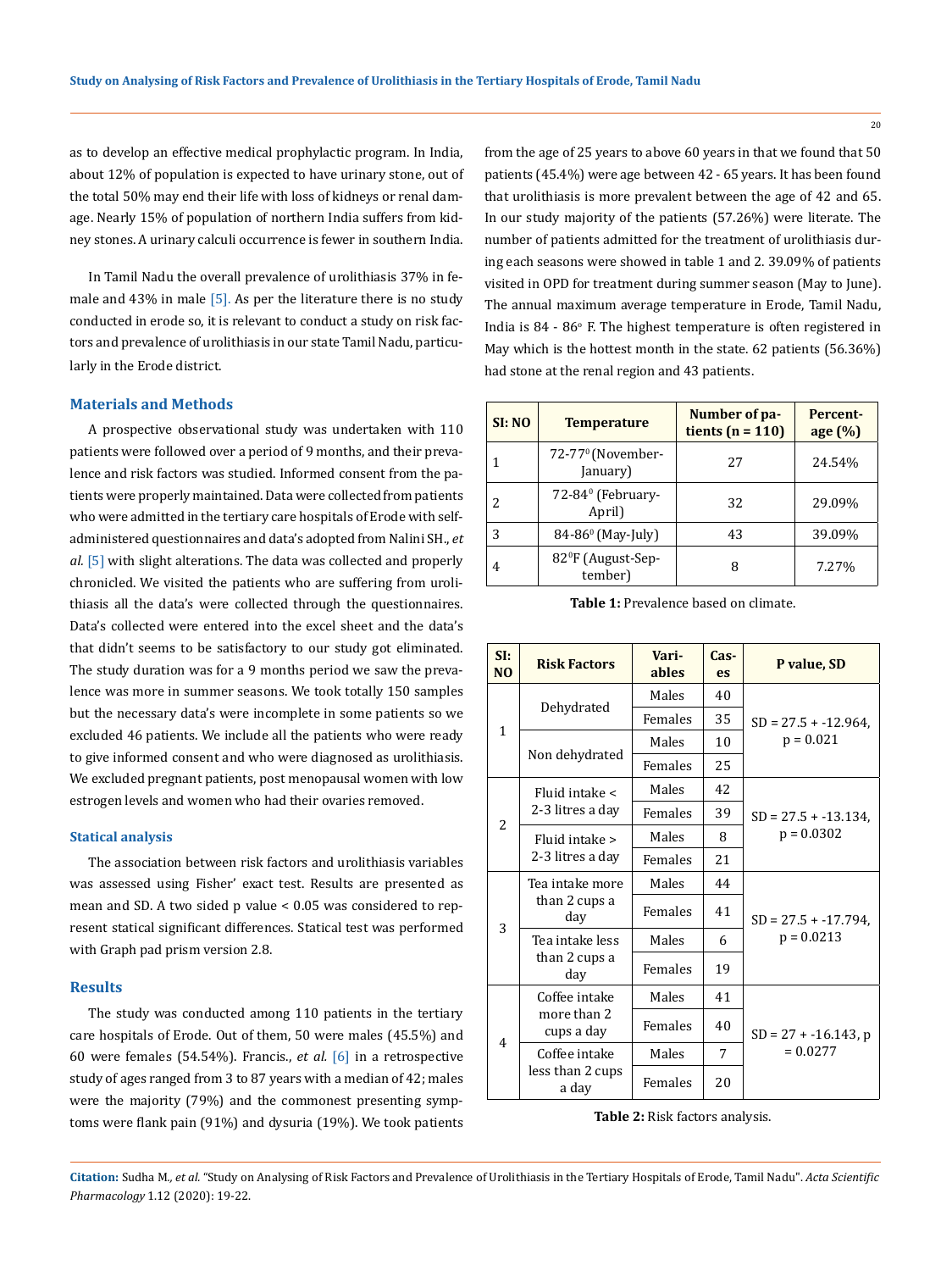as to develop an effective medical prophylactic program. In India, about 12% of population is expected to have urinary stone, out of the total 50% may end their life with loss of kidneys or renal damage. Nearly 15% of population of northern India suffers from kidney stones. A urinary calculi occurrence is fewer in southern India.

In Tamil Nadu the overall prevalence of urolithiasis 37% in female and  $43\%$  in male [5]. As per the literature there is no study conducted in erode so, it is relevant to conduct a study on risk factors and prevalence of urolithiasis in our state Tamil Nadu, particularly in the Erode district.

### **Materials and Methods**

A prospective observational study was undertaken with 110 patients were followed over a period of 9 months, and their prevalence and risk factors was studied. Informed consent from the patients were properly maintained. Data were collected from patients who were admitted in the tertiary care hospitals of Erode with selfadministered questionnaires and data's adopted from Nalini SH., *et al.* [5] with slight alterations. The data was collected and properly chronicled. We visited the patients who are suffering from urolithiasis all the data's were collected through the questionnaires. Data's collected were entered into the excel sheet and the data's that didn't seems to be satisfactory to our study got eliminated. The study duration was for a 9 months period we saw the prevalence was more in summer seasons. We took totally 150 samples but the necessary data's were incomplete in some patients so we excluded 46 patients. We include all the patients who were ready to give informed consent and who were diagnosed as urolithiasis. We excluded pregnant patients, post menopausal women with low estrogen levels and women who had their ovaries removed.

#### **Statical analysis**

The association between risk factors and urolithiasis variables was assessed using Fisher' exact test. Results are presented as mean and SD. A two sided p value < 0.05 was considered to represent statical significant differences. Statical test was performed with Graph pad prism version 2.8.

#### **Results**

The study was conducted among 110 patients in the tertiary care hospitals of Erode. Out of them, 50 were males (45.5%) and 60 were females (54.54%). Francis., *et al.* [6] in a retrospective study of ages ranged from 3 to 87 years with a median of 42; males were the majority (79%) and the commonest presenting symptoms were flank pain (91%) and dysuria (19%). We took patients

from the age of 25 years to above 60 years in that we found that 50 patients (45.4%) were age between 42 - 65 years. It has been found that urolithiasis is more prevalent between the age of 42 and 65. In our study majority of the patients (57.26%) were literate. The number of patients admitted for the treatment of urolithiasis during each seasons were showed in table 1 and 2. 39.09% of patients visited in OPD for treatment during summer season (May to June). The annual maximum average temperature in Erode, Tamil Nadu, India is 84 - 86° F. The highest temperature is often registered in May which is the hottest month in the state. 62 patients (56.36%) had stone at the renal region and 43 patients.

| SI:NO | <b>Temperature</b>                        | Number of pa-<br>tients ( $n = 110$ ) | <b>Percent-</b><br>age (%) |
|-------|-------------------------------------------|---------------------------------------|----------------------------|
|       | 72-77 <sup>0</sup> (November-<br>January) | 27                                    | 24.54%                     |
| 2     | 72-84 <sup>0</sup> (February-<br>April)   | 32                                    | 29.09%                     |
| 3     | 84-86 <sup>0</sup> (May-July)             | 43                                    | 39.09%                     |
| 4     | 82ºF (August-Sep-<br>tember)              |                                       | 7.27%                      |

| <b>Table 1:</b> Prevalence based on climate. |
|----------------------------------------------|
|----------------------------------------------|

| SI:<br>N <sub>0</sub>    | <b>Risk Factors</b>                        | Vari-<br>ables | Cas-<br>es. | P value, SD                             |  |
|--------------------------|--------------------------------------------|----------------|-------------|-----------------------------------------|--|
| $\mathbf{1}$             | Dehydrated                                 | Males          | 40          | $SD = 27.5 + -12.964$<br>$p = 0.021$    |  |
|                          |                                            | Females        | 35          |                                         |  |
|                          | Non dehydrated                             | Males          | 10          |                                         |  |
|                          |                                            | Females        | 25          |                                         |  |
| $\overline{\mathcal{L}}$ | Fluid intake <<br>2-3 litres a dav         | Males          | 42          |                                         |  |
|                          |                                            | Females        | 39          | $SD = 27.5 + -13.134$ .<br>$p = 0.0302$ |  |
|                          | Fluid intake ><br>2-3 litres a day         | Males          | 8           |                                         |  |
|                          |                                            | Females        | 21          |                                         |  |
| 3                        | Tea intake more<br>than 2 cups a<br>day    | Males          | 44          | $SD = 27.5 + -17.794$ ,<br>$p = 0.0213$ |  |
|                          |                                            | Females        | 41          |                                         |  |
|                          | Tea intake less<br>than 2 cups a<br>day    | Males          | 6           |                                         |  |
|                          |                                            | Females        | 19          |                                         |  |
| 4                        | Coffee intake<br>more than 2<br>cups a day | Males          | 41          | $SD = 27 + -16.143$ , p<br>$= 0.0277$   |  |
|                          |                                            | Females        | 40          |                                         |  |
|                          | Coffee intake<br>less than 2 cups<br>a day | Males          | 7           |                                         |  |
|                          |                                            | Females        | 20          |                                         |  |

#### **Table 2:** Risk factors analysis.

**Citation:** Sudha M*., et al.* "Study on Analysing of Risk Factors and Prevalence of Urolithiasis in the Tertiary Hospitals of Erode, Tamil Nadu". *Acta Scientific Pharmacology* 1.12 (2020): 19-22.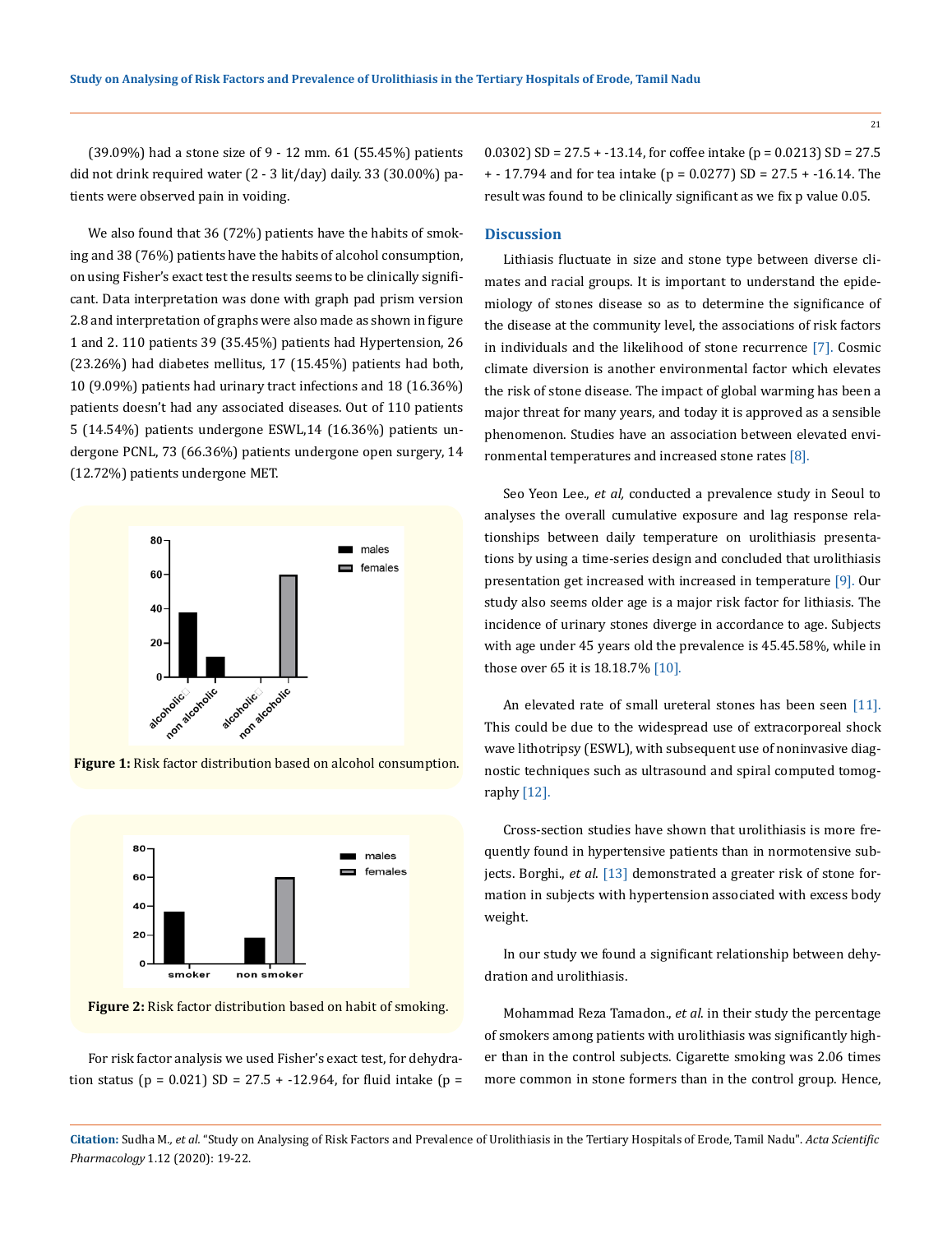(39.09%) had a stone size of 9 - 12 mm. 61 (55.45%) patients did not drink required water (2 - 3 lit/day) daily. 33 (30.00%) patients were observed pain in voiding.

We also found that 36 (72%) patients have the habits of smoking and 38 (76%) patients have the habits of alcohol consumption, on using Fisher's exact test the results seems to be clinically significant. Data interpretation was done with graph pad prism version 2.8 and interpretation of graphs were also made as shown in figure 1 and 2. 110 patients 39 (35.45%) patients had Hypertension, 26 (23.26%) had diabetes mellitus, 17 (15.45%) patients had both, 10 (9.09%) patients had urinary tract infections and 18 (16.36%) patients doesn't had any associated diseases. Out of 110 patients 5 (14.54%) patients undergone ESWL,14 (16.36%) patients undergone PCNL, 73 (66.36%) patients undergone open surgery, 14 (12.72%) patients undergone MET.



**Figure 1:** Risk factor distribution based on alcohol consumption.



**Figure 2:** Risk factor distribution based on habit of smoking.

For risk factor analysis we used Fisher's exact test, for dehydration status ( $p = 0.021$ ) SD = 27.5 + -12.964, for fluid intake ( $p =$  0.0302) SD =  $27.5 + -13.14$ , for coffee intake (p = 0.0213) SD = 27.5 + - 17.794 and for tea intake (p = 0.0277) SD = 27.5 + -16.14. The result was found to be clinically significant as we fix p value 0.05.

#### **Discussion**

Lithiasis fluctuate in size and stone type between diverse climates and racial groups. It is important to understand the epidemiology of stones disease so as to determine the significance of the disease at the community level, the associations of risk factors in individuals and the likelihood of stone recurrence [7]. Cosmic climate diversion is another environmental factor which elevates the risk of stone disease. The impact of global warming has been a major threat for many years, and today it is approved as a sensible phenomenon. Studies have an association between elevated environmental temperatures and increased stone rates [8].

Seo Yeon Lee., *et al,* conducted a prevalence study in Seoul to analyses the overall cumulative exposure and lag response relationships between daily temperature on urolithiasis presentations by using a time-series design and concluded that urolithiasis presentation get increased with increased in temperature [9]. Our study also seems older age is a major risk factor for lithiasis. The incidence of urinary stones diverge in accordance to age. Subjects with age under 45 years old the prevalence is 45.45.58%, while in those over 65 it is 18.18.7% [10].

An elevated rate of small ureteral stones has been seen [11]. This could be due to the widespread use of extracorporeal shock wave lithotripsy (ESWL), with subsequent use of noninvasive diagnostic techniques such as ultrasound and spiral computed tomography [12].

Cross-section studies have shown that urolithiasis is more frequently found in hypertensive patients than in normotensive subjects. Borghi., *et al*. [13] demonstrated a greater risk of stone formation in subjects with hypertension associated with excess body weight.

In our study we found a significant relationship between dehydration and urolithiasis.

Mohammad Reza Tamadon., *et al*. in their study the percentage of smokers among patients with urolithiasis was significantly higher than in the control subjects. Cigarette smoking was 2.06 times more common in stone formers than in the control group. Hence,

21

**Citation:** Sudha M*., et al.* "Study on Analysing of Risk Factors and Prevalence of Urolithiasis in the Tertiary Hospitals of Erode, Tamil Nadu". *Acta Scientific Pharmacology* 1.12 (2020): 19-22.